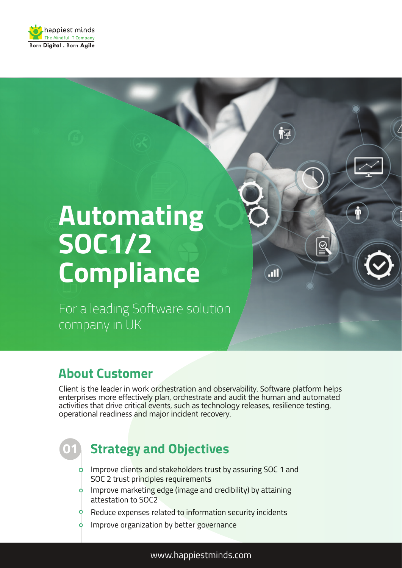

# **Automating SOC1/2 Compliance**

For a leading Software solution company in UK

### **About Customer**

Client is the leader in work orchestration and observability. Software platform helps enterprises more effectively plan, orchestrate and audit the human and automated activities that drive critical events, such as technology releases, resilience testing, operational readiness and major incident recovery.

 $\overline{\mathbb{Q}}$ 

 $\blacksquare$ 

# **01**

### **Strategy and Objectives**

- $\circ$  Improve clients and stakeholders trust by assuring SOC 1 and SOC 2 trust principles requirements
- $\phi$  Improve marketing edge (image and credibility) by attaining attestation to SOC2
- Reduce expenses related to information security incidents
- $\phi$  Improve organization by better governance